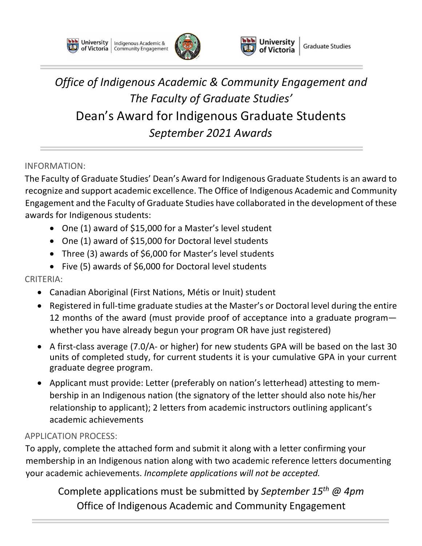**University** | Indigenous Academic & of Victoria | Community Engagement





*Office of Indigenous Academic & Community Engagement and The Faculty of Graduate Studies'*  Dean's Award for Indigenous Graduate Students *September 2021 Awards*

INFORMATION:

The Faculty of Graduate Studies' Dean's Award for Indigenous Graduate Students is an award to recognize and support academic excellence. The Office of Indigenous Academic and Community Engagement and the Faculty of Graduate Studies have collaborated in the development of these awards for Indigenous students:

- One (1) award of \$15,000 for a Master's level student
- One (1) award of \$15,000 for Doctoral level students
- Three (3) awards of \$6,000 for Master's level students
- Five (5) awards of \$6,000 for Doctoral level students

### CRITERIA:

- Canadian Aboriginal (First Nations, Métis or Inuit) student
- Registered in full-time graduate studies at the Master's or Doctoral level during the entire 12 months of the award (must provide proof of acceptance into a graduate program whether you have already begun your program OR have just registered)
- A first-class average (7.0/A- or higher) for new students GPA will be based on the last 30 units of completed study, for current students it is your cumulative GPA in your current graduate degree program.
- Applicant must provide: Letter (preferably on nation's letterhead) attesting to membership in an Indigenous nation (the signatory of the letter should also note his/her relationship to applicant); 2 letters from academic instructors outlining applicant's academic achievements

### APPLICATION PROCESS:

To apply, complete the attached form and submit it along with a letter confirming your membership in an Indigenous nation along with two academic reference letters documenting your academic achievements. *Incomplete applications will not be accepted.*

Complete applications must be submitted by *September 15th @ 4pm* Office of Indigenous Academic and Community Engagement